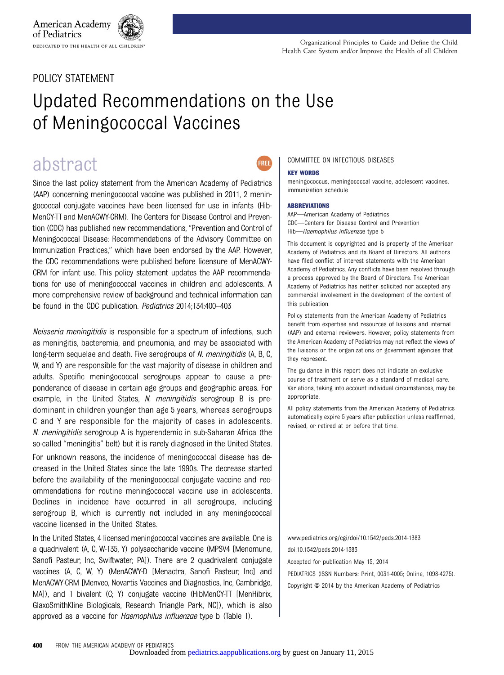#### POLICY STATEMENT

DEDICATED TO THE HEALTH OF ALL CHILDREN'

American Academy

of Pediatrics

## Updated Recommendations on the Use of Meningococcal Vaccines

### abstract

Since the last policy statement from the American Academy of Pediatrics (AAP) concerning meningococcal vaccine was published in 2011, 2 meningococcal conjugate vaccines have been licensed for use in infants (Hib-MenCY-TT and MenACWY-CRM). The Centers for Disease Control and Prevention (CDC) has published new recommendations, "Prevention and Control of Meningococcal Disease: Recommendations of the Advisory Committee on Immunization Practices," which have been endorsed by the AAP. However, the CDC recommendations were published before licensure of MenACWY-CRM for infant use. This policy statement updates the AAP recommendations for use of meningococcal vaccines in children and adolescents. A more comprehensive review of background and technical information can be found in the CDC publication. Pediatrics 2014;134:400–403

Neisseria meningitidis is responsible for a spectrum of infections, such as meningitis, bacteremia, and pneumonia, and may be associated with long-term sequelae and death. Five serogroups of N. meningitidis (A, B, C, W, and Y) are responsible for the vast majority of disease in children and adults. Specific meningococcal serogroups appear to cause a preponderance of disease in certain age groups and geographic areas. For example, in the United States, N. meningitidis serogroup B is predominant in children younger than age 5 years, whereas serogroups C and Y are responsible for the majority of cases in adolescents. N. meningitidis serogroup A is hyperendemic in sub-Saharan Africa (the so-called "meningitis" belt) but it is rarely diagnosed in the United States.

For unknown reasons, the incidence of meningococcal disease has decreased in the United States since the late 1990s. The decrease started before the availability of the meningococcal conjugate vaccine and recommendations for routine meningococcal vaccine use in adolescents. Declines in incidence have occurred in all serogroups, including serogroup B, which is currently not included in any meningococcal vaccine licensed in the United States.

In the United States, 4 licensed meningococcal vaccines are available. One is a quadrivalent (A, C, W-135, Y) polysaccharide vaccine (MPSV4 [Menomune, Sanofi Pasteur, Inc, Swiftwater, PA]). There are 2 quadrivalent conjugate vaccines (A, C, W, Y) (MenACWY-D [Menactra, Sanofi Pasteur, Inc] and MenACWY-CRM [Menveo, Novartis Vaccines and Diagnostics, Inc, Cambridge, MA]), and 1 bivalent (C; Y) conjugate vaccine (HibMenCY-TT [MenHibrix, GlaxoSmithKline Biologicals, Research Triangle Park, NC]), which is also approved as a vaccine for Haemophilus influenzae type b (Table 1).

#### COMMITTEE ON INFECTIOUS DISEASES

#### KEY WORDS

**FREE** 

meningococcus, meningococcal vaccine, adolescent vaccines, immunization schedule

#### ABBREVIATIONS

AAP—American Academy of Pediatrics CDC—Centers for Disease Control and Prevention Hib—Haemophilus influenzae type b

This document is copyrighted and is property of the American Academy of Pediatrics and its Board of Directors. All authors have filed conflict of interest statements with the American Academy of Pediatrics. Any conflicts have been resolved through a process approved by the Board of Directors. The American Academy of Pediatrics has neither solicited nor accepted any commercial involvement in the development of the content of this publication.

Policy statements from the American Academy of Pediatrics benefit from expertise and resources of liaisons and internal (AAP) and external reviewers. However, policy statements from the American Academy of Pediatrics may not reflect the views of the liaisons or the organizations or government agencies that they represent.

The guidance in this report does not indicate an exclusive course of treatment or serve as a standard of medical care. Variations, taking into account individual circumstances, may be appropriate.

All policy statements from the American Academy of Pediatrics automatically expire 5 years after publication unless reaffirmed, revised, or retired at or before that time.

www.pediatrics.org/cgi/doi/10.1542/peds.2014-1383 doi:10.1542/peds.2014-1383

Accepted for publication May 15, 2014

PEDIATRICS (ISSN Numbers: Print, 0031-4005; Online, 1098-4275). Copyright © 2014 by the American Academy of Pediatrics

400 FROM THE AMERICAN ACADEMY OF PEDIATRICS Downloaded from [pediatrics.aappublications.org](http://pediatrics.aappublications.org/) by guest on January 11, 2015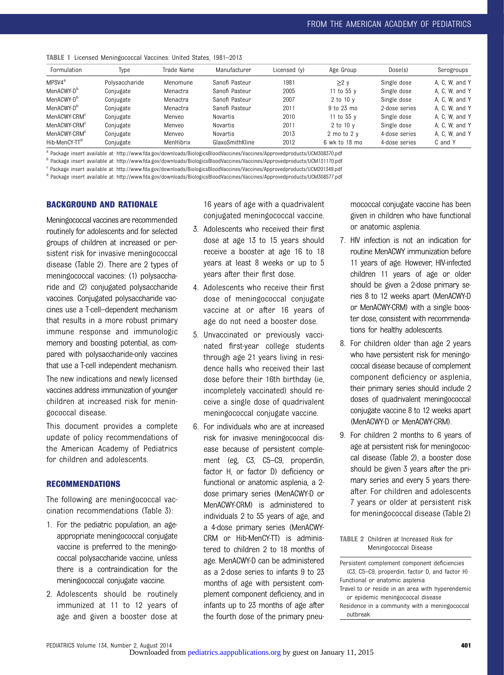TABLE 1 Licensed Meningococcal Vaccines: United States, 1981–2013

| Formulation               | Type           | Trade Name | Manufacturer    | Licensed (y) | Age Group        | Dose(s)       | Serogroups      |
|---------------------------|----------------|------------|-----------------|--------------|------------------|---------------|-----------------|
| MPSV4 <sup>a</sup>        | Polysaccharide | Menomune   | Sanofi Pasteur  | 1981         | $\geq$ 2 v       | Single dose   | A, C, W, and Y  |
| MenACWY-D <sup>b</sup>    | Conjugate      | Menactra   | Sanofi Pasteur  | 2005         | 11 to 55 v       | Single dose   | A. C. W. and Y. |
| MenACWY-D <sup>b</sup>    | Conjugate      | Menactra   | Sanofi Pasteur  | 2007         | 2 to 10 y        | Single dose   | A. C. W. and Y. |
| MenACWY-D <sup>b</sup>    | Conjugate      | Menactra   | Sanofi Pasteur  | 2011         | $9$ to $23$ mo   | 2-dose series | A, C, W, and Y  |
| MenACWY-CRM <sup>c</sup>  | Conjugate      | Menveo     | Novartis        | 2010         | 11 to 55 v       | Single dose   | A, C, W, and Y  |
| MenACWY-CRM <sup>c</sup>  | Conjugate      | Menyeo     | Novartis        | 2011         | 2 to 10 y        | Single dose   | A. C. W. and Y. |
| MenACWY-CRM <sup>c</sup>  | Conjugate      | Menveo     | Novartis        | 2013         | 2 mo to 2 $\vee$ | 4-dose series | A, C, W, and Y  |
| Hib-MenCY-TT <sup>a</sup> | Conjugate      | MenHibrix  | GlaxoSmithKline | 2012         | 6 wk to 18 mo    | 4-dose series | C and Y         |

<sup>a</sup> Package insert available at:<http://www.fda.gov/downloads/BiologicsBloodVaccines/Vaccines/Approvedproducts/UCM308370.pdf>

<sup>b</sup> Package insert available at:<http://www.fda.gov/downloads/BiologicsBloodVaccines/Vaccines/Approvedproducts/UCM131170.pdf>

<sup>c</sup> Package insert available at:<http://www.fda.gov/downloads/BiologicsBloodVaccines/Vaccines/Approvedproducts/UCM201349.pdf>

<sup>d</sup> Package insert available at:<http://www.fda.gov/downloads/BiologicsBloodVaccines/Vaccines/Approvedproducts/UCM308577.pdf>

#### BACKGROUND AND RATIONALE

Meningococcal vaccines are recommended routinely for adolescents and for selected groups of children at increased or persistent risk for invasive meningococcal disease (Table 2). There are 2 types of meningococcal vaccines: (1) polysaccharide and (2) conjugated polysaccharide vaccines. Conjugated polysaccharide vaccines use a T-cell–dependent mechanism that results in a more robust primary immune response and immunologic memory and boosting potential, as compared with polysaccharide-only vaccines that use a T-cell independent mechanism.

The new indications and newly licensed vaccines address immunization of younger children at increased risk for meningococcal disease.

This document provides a complete update of policy recommendations of the American Academy of Pediatrics for children and adolescents.

#### RECOMMENDATIONS

The following are meningococcal vaccination recommendations (Table 3):

- 1. For the pediatric population, an ageappropriate meningococcal conjugate vaccine is preferred to the meningococcal polysaccharide vaccine, unless there is a contraindication for the meningococcal conjugate vaccine.
- 2. Adolescents should be routinely immunized at 11 to 12 years of age and given a booster dose at

16 years of age with a quadrivalent conjugated meningococcal vaccine.

- 3. Adolescents who received their first dose at age 13 to 15 years should receive a booster at age 16 to 18 years at least 8 weeks or up to 5 years after their first dose.
- 4. Adolescents who receive their first dose of meningococcal conjugate vaccine at or after 16 years of age do not need a booster dose.
- 5. Unvaccinated or previously vaccinated first-year college students through age 21 years living in residence halls who received their last dose before their 16th birthday (ie, incompletely vaccinated) should receive a single dose of quadrivalent meningococcal conjugate vaccine.
- 6. For individuals who are at increased risk for invasive meningococcal disease because of persistent complement (eg, C3, C5–C9, properdin, factor H, or factor D) deficiency or functional or anatomic asplenia, a 2 dose primary series (MenACWY-D or MenACWY-CRM) is administered to individuals 2 to 55 years of age, and a 4-dose primary series (MenACWY-CRM or Hib-MenCY-TT) is administered to children 2 to 18 months of age. MenACWY-D can be administered as a 2-dose series to infants 9 to 23 months of age with persistent complement component deficiency, and in infants up to 23 months of age after the fourth dose of the primary pneu-

mococcal conjugate vaccine has been given in children who have functional or anatomic asplenia.

- 7. HIV infection is not an indication for routine MenACWY immunization before 11 years of age. However, HIV-infected children 11 years of age or older should be given a 2-dose primary series 8 to 12 weeks apart (MenACWY-D or MenACWY-CRM) with a single booster dose, consistent with recommendations for healthy adolescents.
- 8. For children older than age 2 years who have persistent risk for meningococcal disease because of complement component deficiency or asplenia, their primary series should include 2 doses of quadrivalent meningococcal conjugate vaccine 8 to 12 weeks apart (MenACWY-D or MenACWY-CRM).
- 9. For children 2 months to 6 years of age at persistent risk for meningococcal disease (Table 2), a booster dose should be given 3 years after the primary series and every 5 years thereafter. For children and adolescents 7 years or older at persistent risk for meningococcal disease (Table 2)

TABLE 2 Children at Increased Risk for Meningococcal Disease

Persistent complement component deficiencies (C3, C5–C9, properdin, factor D, and factor H) Functional or anatomic asplenia

Travel to or reside in an area with hyperendemic or epidemic meningococcal disease

Residence in a community with a meningococcal outbreak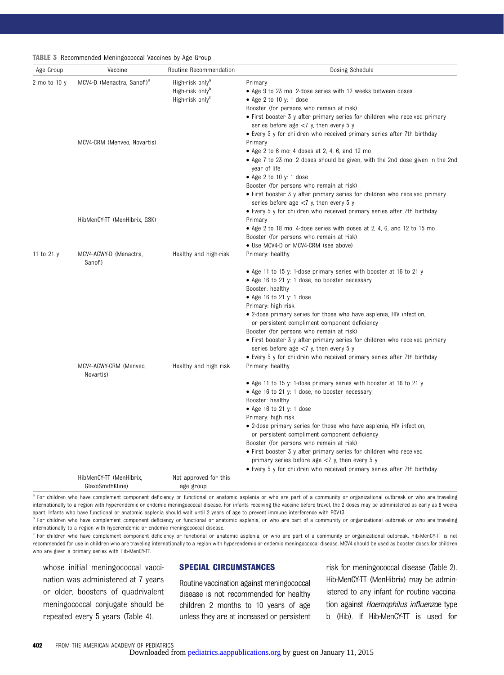|  |  | <b>TABLE 3</b> Recommended Meningococcal Vaccines by Age Group |  |  |  |  |
|--|--|----------------------------------------------------------------|--|--|--|--|
|--|--|----------------------------------------------------------------|--|--|--|--|

| Age Group    | Vaccine                                | Routine Recommendation      | Dosing Schedule                                                                                                         |
|--------------|----------------------------------------|-----------------------------|-------------------------------------------------------------------------------------------------------------------------|
| 2 mo to 10 y | MCV4-D (Menactra, Sanofi) <sup>a</sup> | High-risk only <sup>a</sup> | Primary                                                                                                                 |
|              |                                        | High-risk only <sup>b</sup> | • Age 9 to 23 mo: 2-dose series with 12 weeks between doses                                                             |
|              |                                        | High-risk only <sup>c</sup> | $\bullet$ Age 2 to 10 y: 1 dose                                                                                         |
|              |                                        |                             | Booster (for persons who remain at risk)                                                                                |
|              |                                        |                             | • First booster 3 y after primary series for children who received primary<br>series before age $<$ 7 y, then every 5 y |
|              |                                        |                             | • Every 5 y for children who received primary series after 7th birthday                                                 |
|              | MCV4-CRM (Menveo, Novartis)            |                             | Primary                                                                                                                 |
|              |                                        |                             | • Age 2 to 6 mo: 4 doses at 2, 4, 6, and 12 mo                                                                          |
|              |                                        |                             | • Age 7 to 23 mo: 2 doses should be given, with the 2nd dose given in the 2nd<br>year of life                           |
|              |                                        |                             | $\bullet$ Age 2 to 10 y: 1 dose                                                                                         |
|              |                                        |                             | Booster (for persons who remain at risk)                                                                                |
|              |                                        |                             | • First booster 3 y after primary series for children who received primary                                              |
|              |                                        |                             | series before age $<$ 7 y, then every 5 y                                                                               |
|              |                                        |                             | • Every 5 y for children who received primary series after 7th birthday                                                 |
|              | HibMenCY-TT (MenHibrix, GSK)           |                             | Primary                                                                                                                 |
|              |                                        |                             | • Age 2 to 18 mo: 4-dose series with doses at 2, 4, 6, and 12 to 15 mo<br>Booster (for persons who remain at risk)      |
|              |                                        |                             | • Use MCV4-D or MCV4-CRM (see above)                                                                                    |
| 11 to 21 y   | MCV4-ACWY-D (Menactra,<br>Sanofi)      | Healthy and high-risk       | Primary: healthy                                                                                                        |
|              |                                        |                             | • Age 11 to 15 y: 1-dose primary series with booster at 16 to 21 y                                                      |
|              |                                        |                             | • Age 16 to 21 y: 1 dose, no booster necessary                                                                          |
|              |                                        |                             | Booster: healthy                                                                                                        |
|              |                                        |                             | • Age 16 to 21 y: 1 dose                                                                                                |
|              |                                        |                             | Primary: high risk                                                                                                      |
|              |                                        |                             | • 2-dose primary series for those who have asplenia, HIV infection,                                                     |
|              |                                        |                             | or persistent compliment component deficiency                                                                           |
|              |                                        |                             | Booster (for persons who remain at risk)                                                                                |
|              |                                        |                             | • First booster 3 y after primary series for children who received primary                                              |
|              |                                        |                             | series before age $<$ 7 y, then every 5 y                                                                               |
|              |                                        |                             | • Every 5 y for children who received primary series after 7th birthday                                                 |
|              | MCV4-ACWY-CRM (Menveo,<br>Novartis)    | Healthy and high risk       | Primary: healthy                                                                                                        |
|              |                                        |                             | • Age 11 to 15 y: 1-dose primary series with booster at 16 to 21 y                                                      |
|              |                                        |                             | • Age 16 to 21 y: 1 dose, no booster necessary                                                                          |
|              |                                        |                             | Booster: healthy                                                                                                        |
|              |                                        |                             | $\bullet$ Age 16 to 21 y: 1 dose                                                                                        |
|              |                                        |                             | Primary: high risk<br>• 2-dose primary series for those who have asplenia, HIV infection,                               |
|              |                                        |                             | or persistent compliment component deficiency                                                                           |
|              |                                        |                             | Booster (for persons who remain at risk)                                                                                |
|              |                                        |                             | • First booster 3 y after primary series for children who received                                                      |
|              |                                        |                             | primary series before age $<$ 7 y, then every 5 y                                                                       |
|              | HibMenCY-TT (MenHibrix,                | Not approved for this       | • Every 5 y for children who received primary series after 7th birthday                                                 |
|              | GlaxoSmithKline)                       |                             |                                                                                                                         |
|              |                                        | age group                   |                                                                                                                         |

<sup>a</sup> For children who have complement component deficiency or functional or anatomic asplenia or who are part of a community or organizational outbreak or who are traveling internationally to a region with hyperendemic or endemic meningococcal disease. For infants receiving the vaccine before travel, the 2 doses may be administered as early as 8 weeks apart. Infants who have functional or anatomic asplenia should wait until 2 years of age to prevent immune interference with PCV13.

<sup>b</sup> For children who have complement component deficiency or functional or anatomic asplenia, or who are part of a community or organizational outbreak or who are traveling internationally to a region with hyperendemic or endemic meningococcal disease.

<sup>c</sup> For children who have complement component deficiency or functional or anatomic asplenia, or who are part of a community or organizational outbreak. Hib-MenCY-TT is not recommended for use in children who are traveling internationally to a region with hyperendemic or endemic meningococcal disease. MCV4 should be used as booster doses for children who are given a primary series with Hib-MenCY-TT.

whose initial meningococcal vaccination was administered at 7 years or older, boosters of quadrivalent meningococcal conjugate should be repeated every 5 years (Table 4).

#### SPECIAL CIRCUMSTANCES

Routine vaccination against meningococcal disease is not recommended for healthy children 2 months to 10 years of age unless they are at increased or persistent risk for meningococcal disease (Table 2). Hib-MenCY-TT (MenHibrix) may be administered to any infant for routine vaccination against Haemophilus influenzae type b (Hib). If Hib-MenCY-TT is used for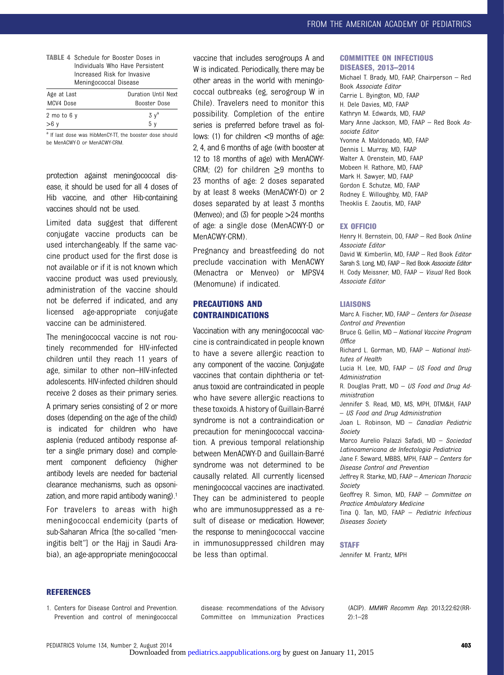| <b>TABLE 4</b> Schedule for Booster Doses in |  |  |
|----------------------------------------------|--|--|
| Individuals Who Have Persistent              |  |  |
| Increased Risk for Invasive                  |  |  |
| Meningococcal Disease                        |  |  |

| Age at Last<br>MCV4 Dose      | Duration Until Next<br>Booster Dose |
|-------------------------------|-------------------------------------|
| $2 \text{ mo} to 6 \text{ v}$ | 3v <sup>a</sup>                     |
| >6y                           | 5 v                                 |

a If last dose was HibMenCY-TT, the booster dose should be MenACWY-D or MenACWY-CRM.

protection against meningococcal disease, it should be used for all 4 doses of Hib vaccine, and other Hib-containing vaccines should not be used.

Limited data suggest that different conjugate vaccine products can be used interchangeably. If the same vaccine product used for the first dose is not available or if it is not known which vaccine product was used previously, administration of the vaccine should not be deferred if indicated, and any licensed age-appropriate conjugate vaccine can be administered.

The meningococcal vaccine is not routinely recommended for HIV-infected children until they reach 11 years of age, similar to other non–HIV-infected adolescents. HIV-infected children should receive 2 doses as their primary series.

A primary series consisting of 2 or more doses (depending on the age of the child) is indicated for children who have asplenia (reduced antibody response after a single primary dose) and complement component deficiency (higher antibody levels are needed for bacterial clearance mechanisms, such as opsonization, and more rapid antibody waning).<sup>1</sup>

For travelers to areas with high meningococcal endemicity (parts of sub-Saharan Africa [the so-called "meningitis belt"] or the Hajj in Saudi Arabia), an age-appropriate meningococcal

vaccine that includes serogroups A and W is indicated. Periodically, there may be other areas in the world with meningococcal outbreaks (eg, serogroup W in Chile). Travelers need to monitor this possibility. Completion of the entire series is preferred before travel as follows: (1) for children  $\leq$ 9 months of age: 2, 4, and 6 months of age (with booster at 12 to 18 months of age) with MenACWY-CRM; (2) for children  $\geq$ 9 months to 23 months of age: 2 doses separated by at least 8 weeks (MenACWY-D) or 2 doses separated by at least 3 months (Menveo); and (3) for people >24 months of age: a single dose (MenACWY-D or MenACWY-CRM).

Pregnancy and breastfeeding do not preclude vaccination with MenACWY (Menactra or Menveo) or MPSV4 (Menomune) if indicated.

#### PRECAUTIONS AND CONTRAINDICATIONS

Vaccination with any meningococcal vaccine is contraindicated in people known to have a severe allergic reaction to any component of the vaccine. Conjugate vaccines that contain diphtheria or tetanus toxoid are contraindicated in people who have severe allergic reactions to these toxoids. A history of Guillain-Barré syndrome is not a contraindication or precaution for meningococcal vaccination. A previous temporal relationship between MenACWY-D and Guillain-Barré syndrome was not determined to be causally related. All currently licensed meningococcal vaccines are inactivated. They can be administered to people who are immunosuppressed as a result of disease or medication. However, the response to meningococcal vaccine in immunosuppressed children may be less than optimal.

#### COMMITTEE ON INFECTIOUS DISEASES, 2013–2014

Michael T. Brady, MD, FAAP, Chairperson – Red Book Associate Editor Carrie L. Byington, MD, FAAP H. Dele Davies, MD, FAAP Kathryn M. Edwards, MD, FAAP Mary Anne Jackson, MD, FAAP – Red Book Associate Editor Yvonne A. Maldonado, MD, FAAP Dennis L. Murray, MD, FAAP Walter A. Orenstein, MD, FAAP Mobeen H. Rathore, MD, FAAP Mark H. Sawyer, MD, FAAP Gordon E. Schutze, MD, FAAP Rodney E. Willoughby, MD, FAAP Theoklis E. Zaoutis, MD, FAAP

#### EX OFFICIO

Henry H. Bernstein, DO, FAAP – Red Book Online Associate Editor David W. Kimberlin, MD, FAAP – Red Book Editor Sarah S. Long, MD, FAAP – Red Book Associate Editor H. Cody Meissner, MD, FAAP – Visual Red Book Associate Editor

#### LIAISONS

Marc A. Fischer, MD, FAAP - Centers for Disease Control and Prevention Bruce G. Gellin, MD – National Vaccine Program **Office** Richard L. Gorman, MD, FAAP – National Institutes of Health Lucia H. Lee, MD, FAAP  $-$  US Food and Drug Administration R. Douglas Pratt,  $MD - US Food$  and Drug Administration Jennifer S. Read, MD, MS, MPH, DTM&H, FAAP – US Food and Drug Administration Joan L. Robinson, MD – Canadian Pediatric Society Marco Aurelio Palazzi Safadi, MD – Sociedad Latinoamericana de Infectologia Pediatrica Jane F. Seward, MBBS, MPH, FAAP – Centers for Disease Control and Prevention Jeffrey R. Starke, MD, FAAP – American Thoracic Society Geoffrey R. Simon, MD, FAAP  $-$  Committee on

Practice Ambulatory Medicine

Tina Q. Tan, MD, FAAP – Pediatric Infectious Diseases Society

#### **STAFF**

Jennifer M. Frantz, MPH

#### REFERENCES

1. Centers for Disease Control and Prevention. Prevention and control of meningococcal disease: recommendations of the Advisory Committee on Immunization Practices (ACIP). MMWR Recomm Rep. 2013;22:62(RR-2):1–28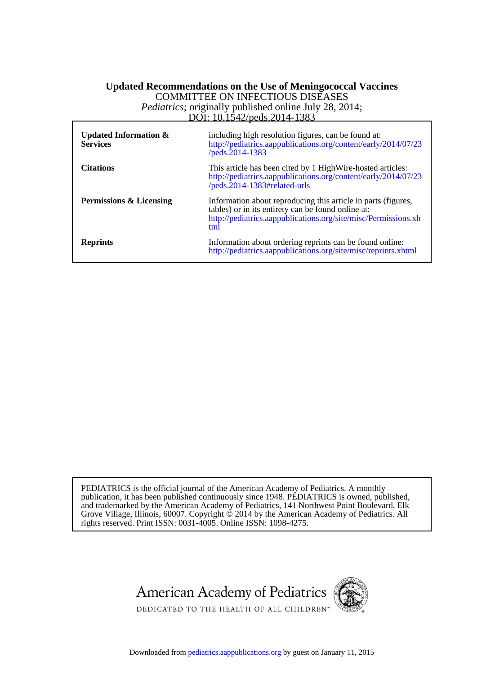#### DOI: 10.1542/peds.2014-1383 *Pediatrics*; originally published online July 28, 2014; COMMITTEE ON INFECTIOUS DISEASES **Updated Recommendations on the Use of Meningococcal Vaccines**

| Updated Information $\&$<br><b>Services</b> | including high resolution figures, can be found at:<br>http://pediatrics.aappublications.org/content/early/2014/07/23<br>/peds.2014-1383                                                     |
|---------------------------------------------|----------------------------------------------------------------------------------------------------------------------------------------------------------------------------------------------|
| <b>Citations</b>                            | This article has been cited by 1 High Wire-hosted articles:<br>http://pediatrics.aappublications.org/content/early/2014/07/23<br>/peds.2014-1383#related-urls                                |
| Permissions & Licensing                     | Information about reproducing this article in parts (figures,<br>tables) or in its entirety can be found online at:<br>http://pediatrics.aappublications.org/site/misc/Permissions.xh<br>tml |
| <b>Reprints</b>                             | Information about ordering reprints can be found online:<br>http://pediatrics.aappublications.org/site/misc/reprints.xhtml                                                                   |

rights reserved. Print ISSN: 0031-4005. Online ISSN: 1098-4275. Grove Village, Illinois, 60007. Copyright © 2014 by the American Academy of Pediatrics. All and trademarked by the American Academy of Pediatrics, 141 Northwest Point Boulevard, Elk publication, it has been published continuously since 1948. PEDIATRICS is owned, published, PEDIATRICS is the official journal of the American Academy of Pediatrics. A monthly